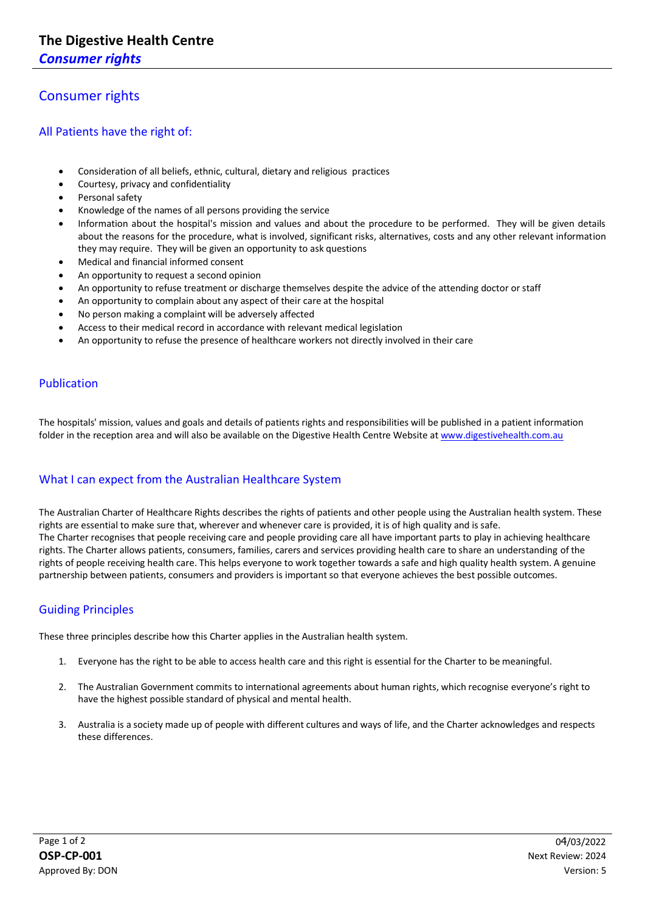*Consumer rights* 

## Consumer rights

All Patients have the right of:

- Consideration of all beliefs, ethnic, cultural, dietary and religious practices
- Courtesy, privacy and confidentiality
- Personal safety
- Knowledge of the names of all persons providing the service
- Information about the hospital's mission and values and about the procedure to be performed. They will be given details about the reasons for the procedure, what is involved, significant risks, alternatives, costs and any other relevant information they may require. They will be given an opportunity to ask questions
- Medical and financial informed consent
- An opportunity to request a second opinion
- An opportunity to refuse treatment or discharge themselves despite the advice of the attending doctor or staff
- An opportunity to complain about any aspect of their care at the hospital
- No person making a complaint will be adversely affected
- Access to their medical record in accordance with relevant medical legislation
- An opportunity to refuse the presence of healthcare workers not directly involved in their care

## Publication

The hospitals' mission, values and goals and details of patients rights and responsibilities will be published in a patient information folder in the reception area and will also be available on the Digestive Health Centre Website a[t www.digestivehealth.com.au](http://www.digestivehealth.com.au/)

## What I can expect from the Australian Healthcare System

The Australian Charter of Healthcare Rights describes the rights of patients and other people using the Australian health system. These rights are essential to make sure that, wherever and whenever care is provided, it is of high quality and is safe. The Charter recognises that people receiving care and people providing care all have important parts to play in achieving healthcare rights. The Charter allows patients, consumers, families, carers and services providing health care to share an understanding of the rights of people receiving health care. This helps everyone to work together towards a safe and high quality health system. A genuine partnership between patients, consumers and providers is important so that everyone achieves the best possible outcomes.

## Guiding Principles

These three principles describe how this Charter applies in the Australian health system.

- 1. Everyone has the right to be able to access health care and this right is essential for the Charter to be meaningful.
- 2. The Australian Government commits to international agreements about human rights, which recognise everyone's right to have the highest possible standard of physical and mental health.
- 3. Australia is a society made up of people with different cultures and ways of life, and the Charter acknowledges and respects these differences.